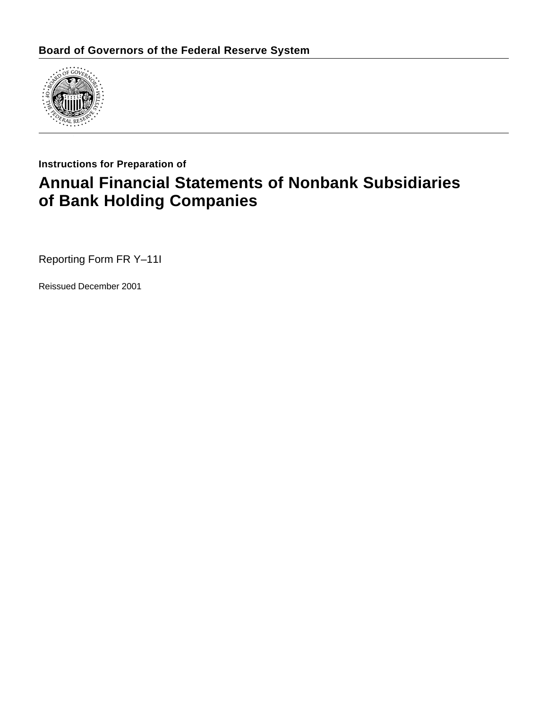

### **Instructions for Preparation of**

# **Annual Financial Statements of Nonbank Subsidiaries of Bank Holding Companies**

Reporting Form FR Y–11I

Reissued December 2001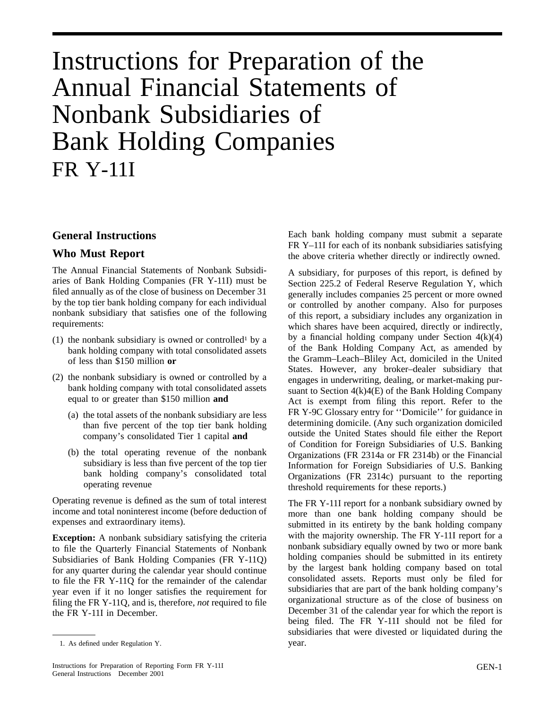# Instructions for Preparation of the Annual Financial Statements of Nonbank Subsidiaries of Bank Holding Companies FR Y-11I

### **General Instructions**

### **Who Must Report**

The Annual Financial Statements of Nonbank Subsidiaries of Bank Holding Companies (FR Y-11I) must be filed annually as of the close of business on December 31 by the top tier bank holding company for each individual nonbank subsidiary that satisfies one of the following requirements:

- (1) the nonbank subsidiary is owned or controlled<sup>1</sup> by a bank holding company with total consolidated assets of less than \$150 million **or**
- (2) the nonbank subsidiary is owned or controlled by a bank holding company with total consolidated assets equal to or greater than \$150 million **and**
	- (a) the total assets of the nonbank subsidiary are less than five percent of the top tier bank holding company's consolidated Tier 1 capital **and**
	- (b) the total operating revenue of the nonbank subsidiary is less than five percent of the top tier bank holding company's consolidated total operating revenue

Operating revenue is defined as the sum of total interest income and total noninterest income (before deduction of expenses and extraordinary items).

**Exception:** A nonbank subsidiary satisfying the criteria to file the Quarterly Financial Statements of Nonbank Subsidiaries of Bank Holding Companies (FR Y-11Q) for any quarter during the calendar year should continue to file the FR Y-11Q for the remainder of the calendar year even if it no longer satisfies the requirement for filing the FR Y-11Q, and is, therefore, *not* required to file the FR Y-11I in December.

1. As defined under Regulation Y.  $year.$ 

Each bank holding company must submit a separate FR Y–11I for each of its nonbank subsidiaries satisfying the above criteria whether directly or indirectly owned.

A subsidiary, for purposes of this report, is defined by Section 225.2 of Federal Reserve Regulation Y, which generally includes companies 25 percent or more owned or controlled by another company. Also for purposes of this report, a subsidiary includes any organization in which shares have been acquired, directly or indirectly, by a financial holding company under Section  $4(k)(4)$ of the Bank Holding Company Act, as amended by the Gramm–Leach–Bliley Act, domiciled in the United States. However, any broker–dealer subsidiary that engages in underwriting, dealing, or market-making pursuant to Section  $4(k)4(E)$  of the Bank Holding Company Act is exempt from filing this report. Refer to the FR Y-9C Glossary entry for ''Domicile'' for guidance in determining domicile. (Any such organization domiciled outside the United States should file either the Report of Condition for Foreign Subsidiaries of U.S. Banking Organizations (FR 2314a or FR 2314b) or the Financial Information for Foreign Subsidiaries of U.S. Banking Organizations (FR 2314c) pursuant to the reporting threshold requirements for these reports.)

The FR Y-11I report for a nonbank subsidiary owned by more than one bank holding company should be submitted in its entirety by the bank holding company with the majority ownership. The FR Y-11I report for a nonbank subsidiary equally owned by two or more bank holding companies should be submitted in its entirety by the largest bank holding company based on total consolidated assets. Reports must only be filed for subsidiaries that are part of the bank holding company's organizational structure as of the close of business on December 31 of the calendar year for which the report is being filed. The FR Y-11I should not be filed for subsidiaries that were divested or liquidated during the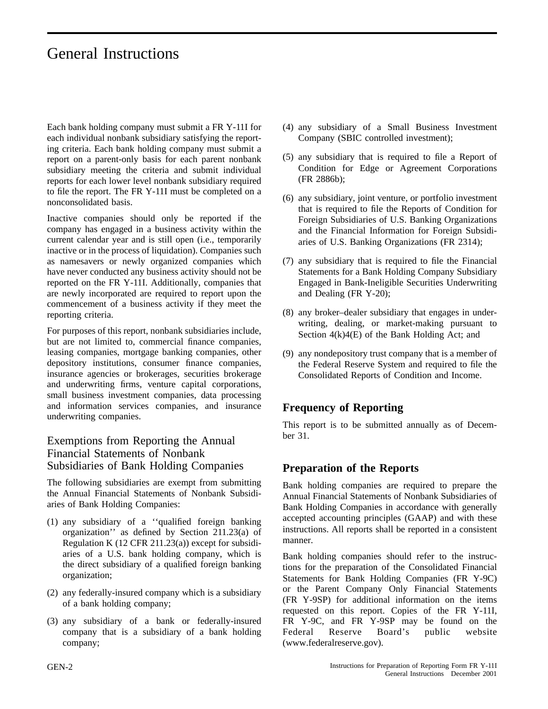# General Instructions

Each bank holding company must submit a FR Y-11I for each individual nonbank subsidiary satisfying the reporting criteria. Each bank holding company must submit a report on a parent-only basis for each parent nonbank subsidiary meeting the criteria and submit individual reports for each lower level nonbank subsidiary required to file the report. The FR Y-11I must be completed on a nonconsolidated basis.

Inactive companies should only be reported if the company has engaged in a business activity within the current calendar year and is still open (i.e., temporarily inactive or in the process of liquidation). Companies such as namesavers or newly organized companies which have never conducted any business activity should not be reported on the FR Y-11I. Additionally, companies that are newly incorporated are required to report upon the commencement of a business activity if they meet the reporting criteria.

For purposes of this report, nonbank subsidiaries include, but are not limited to, commercial finance companies, leasing companies, mortgage banking companies, other depository institutions, consumer finance companies, insurance agencies or brokerages, securities brokerage and underwriting firms, venture capital corporations, small business investment companies, data processing and information services companies, and insurance underwriting companies.

### Exemptions from Reporting the Annual Financial Statements of Nonbank Subsidiaries of Bank Holding Companies

The following subsidiaries are exempt from submitting the Annual Financial Statements of Nonbank Subsidiaries of Bank Holding Companies:

- (1) any subsidiary of a ''qualified foreign banking organization'' as defined by Section 211.23(a) of Regulation K (12 CFR 211.23(a)) except for subsidiaries of a U.S. bank holding company, which is the direct subsidiary of a qualified foreign banking organization;
- (2) any federally-insured company which is a subsidiary of a bank holding company;
- (3) any subsidiary of a bank or federally-insured company that is a subsidiary of a bank holding company;
- (4) any subsidiary of a Small Business Investment Company (SBIC controlled investment);
- (5) any subsidiary that is required to file a Report of Condition for Edge or Agreement Corporations (FR 2886b);
- (6) any subsidiary, joint venture, or portfolio investment that is required to file the Reports of Condition for Foreign Subsidiaries of U.S. Banking Organizations and the Financial Information for Foreign Subsidiaries of U.S. Banking Organizations (FR 2314);
- (7) any subsidiary that is required to file the Financial Statements for a Bank Holding Company Subsidiary Engaged in Bank-Ineligible Securities Underwriting and Dealing (FR Y-20);
- (8) any broker–dealer subsidiary that engages in underwriting, dealing, or market-making pursuant to Section 4(k)4(E) of the Bank Holding Act; and
- (9) any nondepository trust company that is a member of the Federal Reserve System and required to file the Consolidated Reports of Condition and Income.

### **Frequency of Reporting**

This report is to be submitted annually as of December 31.

### **Preparation of the Reports**

Bank holding companies are required to prepare the Annual Financial Statements of Nonbank Subsidiaries of Bank Holding Companies in accordance with generally accepted accounting principles (GAAP) and with these instructions. All reports shall be reported in a consistent manner.

Bank holding companies should refer to the instructions for the preparation of the Consolidated Financial Statements for Bank Holding Companies (FR Y-9C) or the Parent Company Only Financial Statements (FR Y-9SP) for additional information on the items requested on this report. Copies of the FR Y-11I, FR Y-9C, and FR Y-9SP may be found on the Federal Reserve Board's public website (www.federalreserve.gov).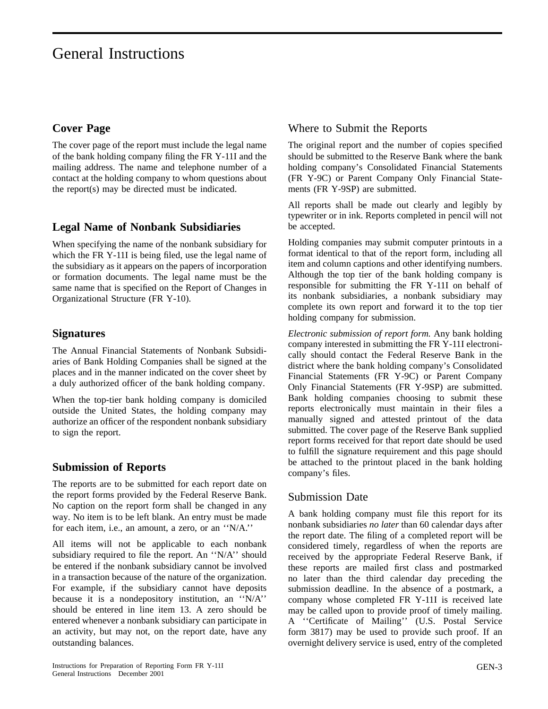# General Instructions

### **Cover Page**

The cover page of the report must include the legal name of the bank holding company filing the FR Y-11I and the mailing address. The name and telephone number of a contact at the holding company to whom questions about the report(s) may be directed must be indicated.

### **Legal Name of Nonbank Subsidiaries**

When specifying the name of the nonbank subsidiary for which the FR Y-11I is being filed, use the legal name of the subsidiary as it appears on the papers of incorporation or formation documents. The legal name must be the same name that is specified on the Report of Changes in Organizational Structure (FR Y-10).

### **Signatures**

The Annual Financial Statements of Nonbank Subsidiaries of Bank Holding Companies shall be signed at the places and in the manner indicated on the cover sheet by a duly authorized officer of the bank holding company.

When the top-tier bank holding company is domiciled outside the United States, the holding company may authorize an officer of the respondent nonbank subsidiary to sign the report.

### **Submission of Reports**

The reports are to be submitted for each report date on the report forms provided by the Federal Reserve Bank. No caption on the report form shall be changed in any way. No item is to be left blank. An entry must be made for each item, i.e., an amount, a zero, or an ''N/A.''

All items will not be applicable to each nonbank subsidiary required to file the report. An ''N/A'' should be entered if the nonbank subsidiary cannot be involved in a transaction because of the nature of the organization. For example, if the subsidiary cannot have deposits because it is a nondepository institution, an ''N/A'' should be entered in line item 13. A zero should be entered whenever a nonbank subsidiary can participate in an activity, but may not, on the report date, have any outstanding balances.

### Where to Submit the Reports

The original report and the number of copies specified should be submitted to the Reserve Bank where the bank holding company's Consolidated Financial Statements (FR Y-9C) or Parent Company Only Financial Statements (FR Y-9SP) are submitted.

All reports shall be made out clearly and legibly by typewriter or in ink. Reports completed in pencil will not be accepted.

Holding companies may submit computer printouts in a format identical to that of the report form, including all item and column captions and other identifying numbers. Although the top tier of the bank holding company is responsible for submitting the FR Y-11I on behalf of its nonbank subsidiaries, a nonbank subsidiary may complete its own report and forward it to the top tier holding company for submission.

*Electronic submission of report form.* Any bank holding company interested in submitting the FR Y-11I electronically should contact the Federal Reserve Bank in the district where the bank holding company's Consolidated Financial Statements (FR Y-9C) or Parent Company Only Financial Statements (FR Y-9SP) are submitted. Bank holding companies choosing to submit these reports electronically must maintain in their files a manually signed and attested printout of the data submitted. The cover page of the Reserve Bank supplied report forms received for that report date should be used to fulfill the signature requirement and this page should be attached to the printout placed in the bank holding company's files.

### Submission Date

A bank holding company must file this report for its nonbank subsidiaries *no later* than 60 calendar days after the report date. The filing of a completed report will be considered timely, regardless of when the reports are received by the appropriate Federal Reserve Bank, if these reports are mailed first class and postmarked no later than the third calendar day preceding the submission deadline. In the absence of a postmark, a company whose completed FR Y-11I is received late may be called upon to provide proof of timely mailing. A ''Certificate of Mailing'' (U.S. Postal Service form 3817) may be used to provide such proof. If an overnight delivery service is used, entry of the completed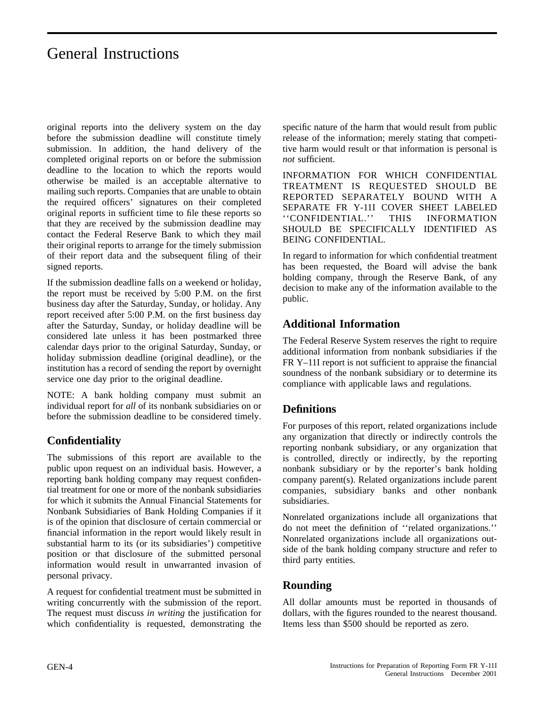# General Instructions

original reports into the delivery system on the day before the submission deadline will constitute timely submission. In addition, the hand delivery of the completed original reports on or before the submission deadline to the location to which the reports would otherwise be mailed is an acceptable alternative to mailing such reports. Companies that are unable to obtain the required officers' signatures on their completed original reports in sufficient time to file these reports so that they are received by the submission deadline may contact the Federal Reserve Bank to which they mail their original reports to arrange for the timely submission of their report data and the subsequent filing of their signed reports.

If the submission deadline falls on a weekend or holiday, the report must be received by 5:00 P.M. on the first business day after the Saturday, Sunday, or holiday. Any report received after 5:00 P.M. on the first business day after the Saturday, Sunday, or holiday deadline will be considered late unless it has been postmarked three calendar days prior to the original Saturday, Sunday, or holiday submission deadline (original deadline), or the institution has a record of sending the report by overnight service one day prior to the original deadline.

NOTE: A bank holding company must submit an individual report for *all* of its nonbank subsidiaries on or before the submission deadline to be considered timely.

### **Confidentiality**

The submissions of this report are available to the public upon request on an individual basis. However, a reporting bank holding company may request confidential treatment for one or more of the nonbank subsidiaries for which it submits the Annual Financial Statements for Nonbank Subsidiaries of Bank Holding Companies if it is of the opinion that disclosure of certain commercial or financial information in the report would likely result in substantial harm to its (or its subsidiaries') competitive position or that disclosure of the submitted personal information would result in unwarranted invasion of personal privacy.

A request for confidential treatment must be submitted in writing concurrently with the submission of the report. The request must discuss *in writing* the justification for which confidentiality is requested, demonstrating the

specific nature of the harm that would result from public release of the information; merely stating that competitive harm would result or that information is personal is *not* sufficient.

INFORMATION FOR WHICH CONFIDENTIAL TREATMENT IS REQUESTED SHOULD BE REPORTED SEPARATELY BOUND WITH A SEPARATE FR Y-11I COVER SHEET LABELED ''CONFIDENTIAL.'' THIS INFORMATION SHOULD BE SPECIFICALLY IDENTIFIED AS BEING CONFIDENTIAL.

In regard to information for which confidential treatment has been requested, the Board will advise the bank holding company, through the Reserve Bank, of any decision to make any of the information available to the public.

### **Additional Information**

The Federal Reserve System reserves the right to require additional information from nonbank subsidiaries if the FR Y–11I report is not sufficient to appraise the financial soundness of the nonbank subsidiary or to determine its compliance with applicable laws and regulations.

### **Definitions**

For purposes of this report, related organizations include any organization that directly or indirectly controls the reporting nonbank subsidiary, or any organization that is controlled, directly or indirectly, by the reporting nonbank subsidiary or by the reporter's bank holding company parent(s). Related organizations include parent companies, subsidiary banks and other nonbank subsidiaries.

Nonrelated organizations include all organizations that do not meet the definition of ''related organizations.'' Nonrelated organizations include all organizations outside of the bank holding company structure and refer to third party entities.

### **Rounding**

All dollar amounts must be reported in thousands of dollars, with the figures rounded to the nearest thousand. Items less than \$500 should be reported as zero.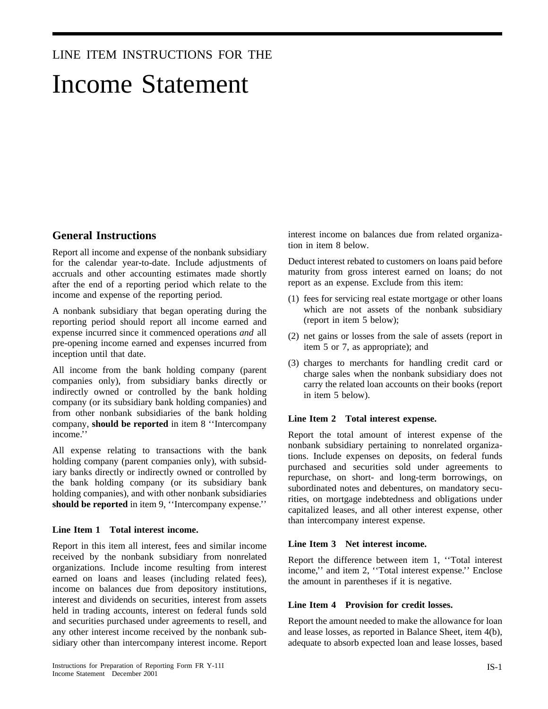### LINE ITEM INSTRUCTIONS FOR THE

# Income Statement

### **General Instructions**

Report all income and expense of the nonbank subsidiary for the calendar year-to-date. Include adjustments of accruals and other accounting estimates made shortly after the end of a reporting period which relate to the income and expense of the reporting period.

A nonbank subsidiary that began operating during the reporting period should report all income earned and expense incurred since it commenced operations *and* all pre-opening income earned and expenses incurred from inception until that date.

All income from the bank holding company (parent companies only), from subsidiary banks directly or indirectly owned or controlled by the bank holding company (or its subsidiary bank holding companies) and from other nonbank subsidiaries of the bank holding company, **should be reported** in item 8 ''Intercompany income.''

All expense relating to transactions with the bank holding company (parent companies only), with subsidiary banks directly or indirectly owned or controlled by the bank holding company (or its subsidiary bank holding companies), and with other nonbank subsidiaries **should be reported** in item 9, ''Intercompany expense.''

### **Line Item 1 Total interest income.**

Report in this item all interest, fees and similar income received by the nonbank subsidiary from nonrelated organizations. Include income resulting from interest earned on loans and leases (including related fees), income on balances due from depository institutions, interest and dividends on securities, interest from assets held in trading accounts, interest on federal funds sold and securities purchased under agreements to resell, and any other interest income received by the nonbank subsidiary other than intercompany interest income. Report interest income on balances due from related organization in item 8 below.

Deduct interest rebated to customers on loans paid before maturity from gross interest earned on loans; do not report as an expense. Exclude from this item:

- (1) fees for servicing real estate mortgage or other loans which are not assets of the nonbank subsidiary (report in item 5 below);
- (2) net gains or losses from the sale of assets (report in item 5 or 7, as appropriate); and
- (3) charges to merchants for handling credit card or charge sales when the nonbank subsidiary does not carry the related loan accounts on their books (report in item 5 below).

### **Line Item 2 Total interest expense.**

Report the total amount of interest expense of the nonbank subsidiary pertaining to nonrelated organizations. Include expenses on deposits, on federal funds purchased and securities sold under agreements to repurchase, on short- and long-term borrowings, on subordinated notes and debentures, on mandatory securities, on mortgage indebtedness and obligations under capitalized leases, and all other interest expense, other than intercompany interest expense.

### **Line Item 3 Net interest income.**

Report the difference between item 1, ''Total interest income,'' and item 2, ''Total interest expense.'' Enclose the amount in parentheses if it is negative.

### **Line Item 4 Provision for credit losses.**

Report the amount needed to make the allowance for loan and lease losses, as reported in Balance Sheet, item 4(b), adequate to absorb expected loan and lease losses, based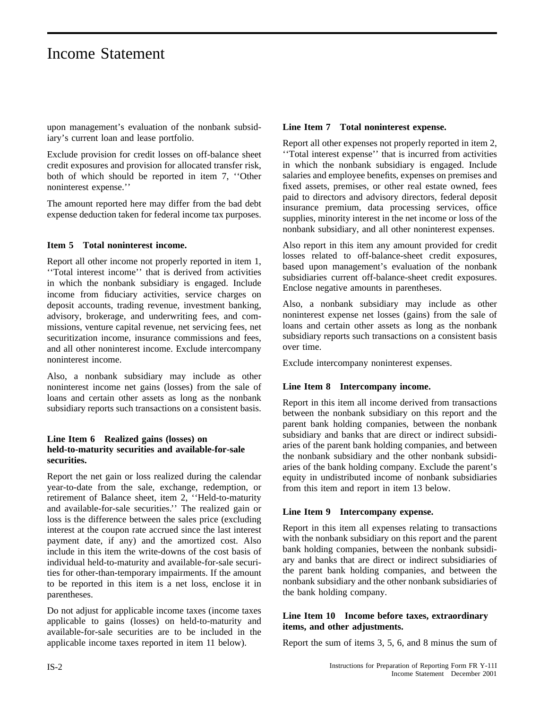## Income Statement

upon management's evaluation of the nonbank subsidiary's current loan and lease portfolio.

Exclude provision for credit losses on off-balance sheet credit exposures and provision for allocated transfer risk, both of which should be reported in item 7, ''Other noninterest expense.''

The amount reported here may differ from the bad debt expense deduction taken for federal income tax purposes.

### **Item 5 Total noninterest income.**

Report all other income not properly reported in item 1, ''Total interest income'' that is derived from activities in which the nonbank subsidiary is engaged. Include income from fiduciary activities, service charges on deposit accounts, trading revenue, investment banking, advisory, brokerage, and underwriting fees, and commissions, venture capital revenue, net servicing fees, net securitization income, insurance commissions and fees, and all other noninterest income. Exclude intercompany noninterest income.

Also, a nonbank subsidiary may include as other noninterest income net gains (losses) from the sale of loans and certain other assets as long as the nonbank subsidiary reports such transactions on a consistent basis.

### **Line Item 6 Realized gains (losses) on held-to-maturity securities and available-for-sale securities.**

Report the net gain or loss realized during the calendar year-to-date from the sale, exchange, redemption, or retirement of Balance sheet, item 2, ''Held-to-maturity and available-for-sale securities.'' The realized gain or loss is the difference between the sales price (excluding interest at the coupon rate accrued since the last interest payment date, if any) and the amortized cost. Also include in this item the write-downs of the cost basis of individual held-to-maturity and available-for-sale securities for other-than-temporary impairments. If the amount to be reported in this item is a net loss, enclose it in parentheses.

Do not adjust for applicable income taxes (income taxes applicable to gains (losses) on held-to-maturity and available-for-sale securities are to be included in the applicable income taxes reported in item 11 below).

### **Line Item 7 Total noninterest expense.**

Report all other expenses not properly reported in item 2, ''Total interest expense'' that is incurred from activities in which the nonbank subsidiary is engaged. Include salaries and employee benefits, expenses on premises and fixed assets, premises, or other real estate owned, fees paid to directors and advisory directors, federal deposit insurance premium, data processing services, office supplies, minority interest in the net income or loss of the nonbank subsidiary, and all other noninterest expenses.

Also report in this item any amount provided for credit losses related to off-balance-sheet credit exposures, based upon management's evaluation of the nonbank subsidiaries current off-balance-sheet credit exposures. Enclose negative amounts in parentheses.

Also, a nonbank subsidiary may include as other noninterest expense net losses (gains) from the sale of loans and certain other assets as long as the nonbank subsidiary reports such transactions on a consistent basis over time.

Exclude intercompany noninterest expenses.

### **Line Item 8 Intercompany income.**

Report in this item all income derived from transactions between the nonbank subsidiary on this report and the parent bank holding companies, between the nonbank subsidiary and banks that are direct or indirect subsidiaries of the parent bank holding companies, and between the nonbank subsidiary and the other nonbank subsidiaries of the bank holding company. Exclude the parent's equity in undistributed income of nonbank subsidiaries from this item and report in item 13 below.

### **Line Item 9 Intercompany expense.**

Report in this item all expenses relating to transactions with the nonbank subsidiary on this report and the parent bank holding companies, between the nonbank subsidiary and banks that are direct or indirect subsidiaries of the parent bank holding companies, and between the nonbank subsidiary and the other nonbank subsidiaries of the bank holding company.

### **Line Item 10 Income before taxes, extraordinary items, and other adjustments.**

Report the sum of items 3, 5, 6, and 8 minus the sum of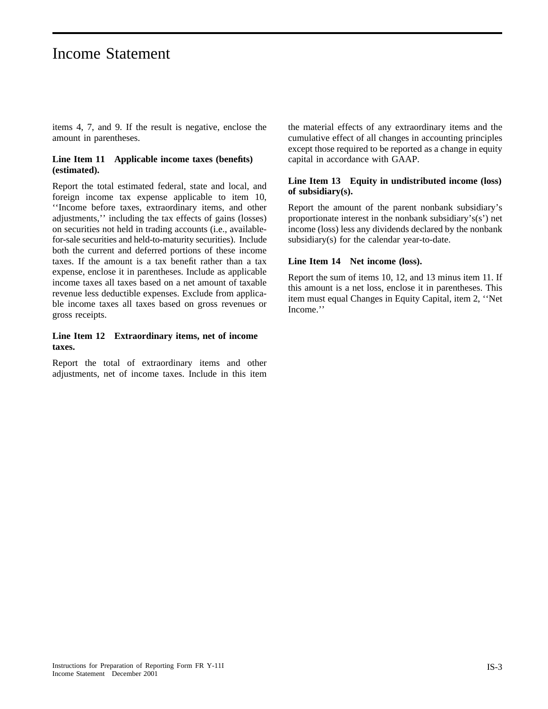# Income Statement

items 4, 7, and 9. If the result is negative, enclose the amount in parentheses.

### **Line Item 11 Applicable income taxes (benefits) (estimated).**

Report the total estimated federal, state and local, and foreign income tax expense applicable to item 10, ''Income before taxes, extraordinary items, and other adjustments,'' including the tax effects of gains (losses) on securities not held in trading accounts (i.e., availablefor-sale securities and held-to-maturity securities). Include both the current and deferred portions of these income taxes. If the amount is a tax benefit rather than a tax expense, enclose it in parentheses. Include as applicable income taxes all taxes based on a net amount of taxable revenue less deductible expenses. Exclude from applicable income taxes all taxes based on gross revenues or gross receipts.

### **Line Item 12 Extraordinary items, net of income taxes.**

Report the total of extraordinary items and other adjustments, net of income taxes. Include in this item the material effects of any extraordinary items and the cumulative effect of all changes in accounting principles except those required to be reported as a change in equity capital in accordance with GAAP.

### **Line Item 13 Equity in undistributed income (loss) of subsidiary(s).**

Report the amount of the parent nonbank subsidiary's proportionate interest in the nonbank subsidiary's(s') net income (loss) less any dividends declared by the nonbank subsidiary(s) for the calendar year-to-date.

### **Line Item 14 Net income (loss).**

Report the sum of items 10, 12, and 13 minus item 11. If this amount is a net loss, enclose it in parentheses. This item must equal Changes in Equity Capital, item 2, ''Net Income.''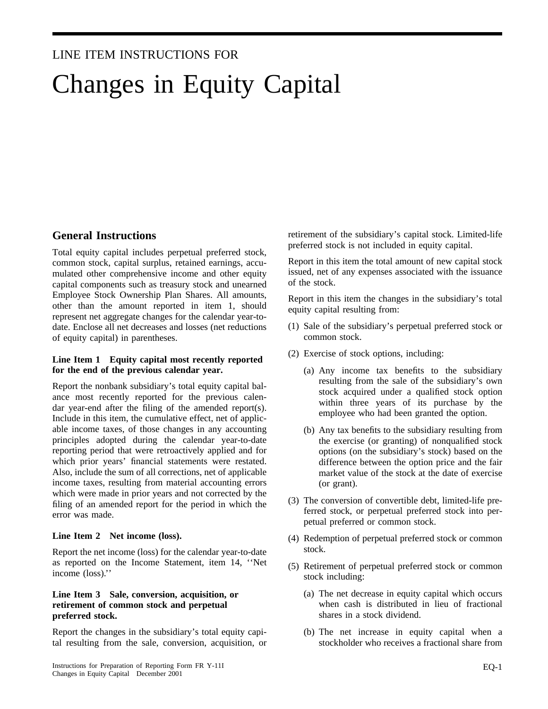# LINE ITEM INSTRUCTIONS FOR Changes in Equity Capital

### **General Instructions**

Total equity capital includes perpetual preferred stock, common stock, capital surplus, retained earnings, accumulated other comprehensive income and other equity capital components such as treasury stock and unearned Employee Stock Ownership Plan Shares. All amounts, other than the amount reported in item 1, should represent net aggregate changes for the calendar year-todate. Enclose all net decreases and losses (net reductions of equity capital) in parentheses.

### **Line Item 1 Equity capital most recently reported for the end of the previous calendar year.**

Report the nonbank subsidiary's total equity capital balance most recently reported for the previous calendar year-end after the filing of the amended report(s). Include in this item, the cumulative effect, net of applicable income taxes, of those changes in any accounting principles adopted during the calendar year-to-date reporting period that were retroactively applied and for which prior years' financial statements were restated. Also, include the sum of all corrections, net of applicable income taxes, resulting from material accounting errors which were made in prior years and not corrected by the filing of an amended report for the period in which the error was made.

### **Line Item 2 Net income (loss).**

Report the net income (loss) for the calendar year-to-date as reported on the Income Statement, item 14, ''Net income (loss).''

### **Line Item 3 Sale, conversion, acquisition, or retirement of common stock and perpetual preferred stock.**

Report the changes in the subsidiary's total equity capital resulting from the sale, conversion, acquisition, or retirement of the subsidiary's capital stock. Limited-life preferred stock is not included in equity capital.

Report in this item the total amount of new capital stock issued, net of any expenses associated with the issuance of the stock.

Report in this item the changes in the subsidiary's total equity capital resulting from:

- (1) Sale of the subsidiary's perpetual preferred stock or common stock.
- (2) Exercise of stock options, including:
	- (a) Any income tax benefits to the subsidiary resulting from the sale of the subsidiary's own stock acquired under a qualified stock option within three years of its purchase by the employee who had been granted the option.
	- (b) Any tax benefits to the subsidiary resulting from the exercise (or granting) of nonqualified stock options (on the subsidiary's stock) based on the difference between the option price and the fair market value of the stock at the date of exercise (or grant).
- (3) The conversion of convertible debt, limited-life preferred stock, or perpetual preferred stock into perpetual preferred or common stock.
- (4) Redemption of perpetual preferred stock or common stock.
- (5) Retirement of perpetual preferred stock or common stock including:
	- (a) The net decrease in equity capital which occurs when cash is distributed in lieu of fractional shares in a stock dividend.
	- (b) The net increase in equity capital when a stockholder who receives a fractional share from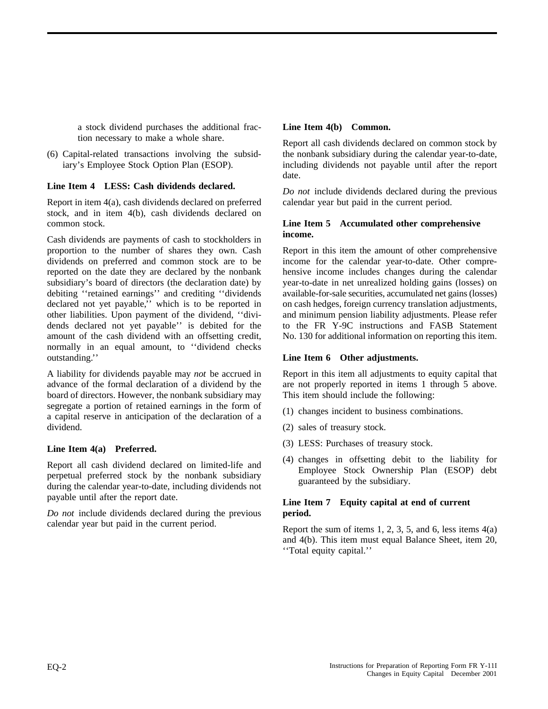a stock dividend purchases the additional fraction necessary to make a whole share.

(6) Capital-related transactions involving the subsidiary's Employee Stock Option Plan (ESOP).

### **Line Item 4 LESS: Cash dividends declared.**

Report in item 4(a), cash dividends declared on preferred stock, and in item 4(b), cash dividends declared on common stock.

Cash dividends are payments of cash to stockholders in proportion to the number of shares they own. Cash dividends on preferred and common stock are to be reported on the date they are declared by the nonbank subsidiary's board of directors (the declaration date) by debiting ''retained earnings'' and crediting ''dividends declared not yet payable,'' which is to be reported in other liabilities. Upon payment of the dividend, ''dividends declared not yet payable'' is debited for the amount of the cash dividend with an offsetting credit, normally in an equal amount, to ''dividend checks outstanding.''

A liability for dividends payable may *not* be accrued in advance of the formal declaration of a dividend by the board of directors. However, the nonbank subsidiary may segregate a portion of retained earnings in the form of a capital reserve in anticipation of the declaration of a dividend.

### **Line Item 4(a) Preferred.**

Report all cash dividend declared on limited-life and perpetual preferred stock by the nonbank subsidiary during the calendar year-to-date, including dividends not payable until after the report date.

*Do not* include dividends declared during the previous calendar year but paid in the current period.

### **Line Item 4(b) Common.**

Report all cash dividends declared on common stock by the nonbank subsidiary during the calendar year-to-date, including dividends not payable until after the report date.

*Do not* include dividends declared during the previous calendar year but paid in the current period.

### **Line Item 5 Accumulated other comprehensive income.**

Report in this item the amount of other comprehensive income for the calendar year-to-date. Other comprehensive income includes changes during the calendar year-to-date in net unrealized holding gains (losses) on available-for-sale securities, accumulated net gains (losses) on cash hedges, foreign currency translation adjustments, and minimum pension liability adjustments. Please refer to the FR Y-9C instructions and FASB Statement No. 130 for additional information on reporting this item.

### **Line Item 6 Other adjustments.**

Report in this item all adjustments to equity capital that are not properly reported in items 1 through 5 above. This item should include the following:

- (1) changes incident to business combinations.
- (2) sales of treasury stock.
- (3) LESS: Purchases of treasury stock.
- (4) changes in offsetting debit to the liability for Employee Stock Ownership Plan (ESOP) debt guaranteed by the subsidiary.

### **Line Item 7 Equity capital at end of current period.**

Report the sum of items 1, 2, 3, 5, and 6, less items 4(a) and 4(b). This item must equal Balance Sheet, item 20, ''Total equity capital.''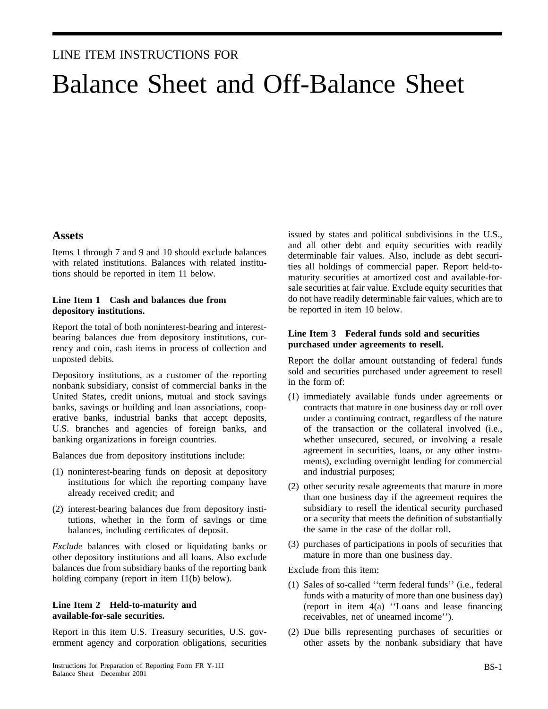### LINE ITEM INSTRUCTIONS FOR

# Balance Sheet and Off-Balance Sheet

### **Assets**

Items 1 through 7 and 9 and 10 should exclude balances with related institutions. Balances with related institutions should be reported in item 11 below.

### **Line Item 1 Cash and balances due from depository institutions.**

Report the total of both noninterest-bearing and interestbearing balances due from depository institutions, currency and coin, cash items in process of collection and unposted debits.

Depository institutions, as a customer of the reporting nonbank subsidiary, consist of commercial banks in the United States, credit unions, mutual and stock savings banks, savings or building and loan associations, cooperative banks, industrial banks that accept deposits, U.S. branches and agencies of foreign banks, and banking organizations in foreign countries.

Balances due from depository institutions include:

- (1) noninterest-bearing funds on deposit at depository institutions for which the reporting company have already received credit; and
- (2) interest-bearing balances due from depository institutions, whether in the form of savings or time balances, including certificates of deposit.

*Exclude* balances with closed or liquidating banks or other depository institutions and all loans. Also exclude balances due from subsidiary banks of the reporting bank holding company (report in item 11(b) below).

### **Line Item 2 Held-to-maturity and available-for-sale securities.**

Report in this item U.S. Treasury securities, U.S. government agency and corporation obligations, securities issued by states and political subdivisions in the U.S., and all other debt and equity securities with readily determinable fair values. Also, include as debt securities all holdings of commercial paper. Report held-tomaturity securities at amortized cost and available-forsale securities at fair value. Exclude equity securities that do not have readily determinable fair values, which are to be reported in item 10 below.

### **Line Item 3 Federal funds sold and securities purchased under agreements to resell.**

Report the dollar amount outstanding of federal funds sold and securities purchased under agreement to resell in the form of:

- (1) immediately available funds under agreements or contracts that mature in one business day or roll over under a continuing contract, regardless of the nature of the transaction or the collateral involved (i.e., whether unsecured, secured, or involving a resale agreement in securities, loans, or any other instruments), excluding overnight lending for commercial and industrial purposes;
- (2) other security resale agreements that mature in more than one business day if the agreement requires the subsidiary to resell the identical security purchased or a security that meets the definition of substantially the same in the case of the dollar roll.
- (3) purchases of participations in pools of securities that mature in more than one business day.

Exclude from this item:

- (1) Sales of so-called ''term federal funds'' (i.e., federal funds with a maturity of more than one business day) (report in item 4(a) ''Loans and lease financing receivables, net of unearned income'').
- (2) Due bills representing purchases of securities or other assets by the nonbank subsidiary that have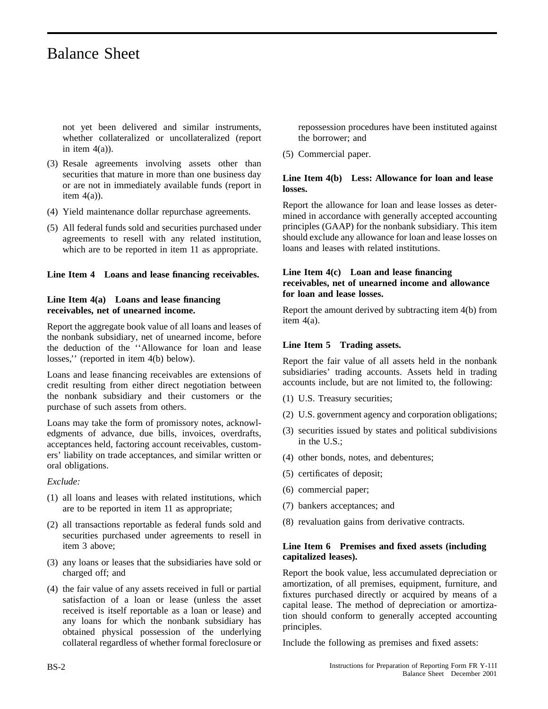not yet been delivered and similar instruments, whether collateralized or uncollateralized (report in item  $4(a)$ ).

- (3) Resale agreements involving assets other than securities that mature in more than one business day or are not in immediately available funds (report in item  $4(a)$ ).
- (4) Yield maintenance dollar repurchase agreements.
- (5) All federal funds sold and securities purchased under agreements to resell with any related institution, which are to be reported in item 11 as appropriate.

### **Line Item 4 Loans and lease financing receivables.**

### **Line Item 4(a) Loans and lease financing receivables, net of unearned income.**

Report the aggregate book value of all loans and leases of the nonbank subsidiary, net of unearned income, before the deduction of the ''Allowance for loan and lease losses,'' (reported in item 4(b) below).

Loans and lease financing receivables are extensions of credit resulting from either direct negotiation between the nonbank subsidiary and their customers or the purchase of such assets from others.

Loans may take the form of promissory notes, acknowledgments of advance, due bills, invoices, overdrafts, acceptances held, factoring account receivables, customers' liability on trade acceptances, and similar written or oral obligations.

*Exclude:*

- (1) all loans and leases with related institutions, which are to be reported in item 11 as appropriate;
- (2) all transactions reportable as federal funds sold and securities purchased under agreements to resell in item 3 above;
- (3) any loans or leases that the subsidiaries have sold or charged off; and
- (4) the fair value of any assets received in full or partial satisfaction of a loan or lease (unless the asset received is itself reportable as a loan or lease) and any loans for which the nonbank subsidiary has obtained physical possession of the underlying collateral regardless of whether formal foreclosure or

repossession procedures have been instituted against the borrower; and

(5) Commercial paper.

### **Line Item 4(b) Less: Allowance for loan and lease losses.**

Report the allowance for loan and lease losses as determined in accordance with generally accepted accounting principles (GAAP) for the nonbank subsidiary. This item should exclude any allowance for loan and lease losses on loans and leases with related institutions.

### **Line Item 4(c) Loan and lease financing receivables, net of unearned income and allowance for loan and lease losses.**

Report the amount derived by subtracting item 4(b) from item 4(a).

### **Line Item 5 Trading assets.**

Report the fair value of all assets held in the nonbank subsidiaries' trading accounts. Assets held in trading accounts include, but are not limited to, the following:

- (1) U.S. Treasury securities;
- (2) U.S. government agency and corporation obligations;
- (3) securities issued by states and political subdivisions in the U.S.;
- (4) other bonds, notes, and debentures;
- (5) certificates of deposit;
- (6) commercial paper;
- (7) bankers acceptances; and
- (8) revaluation gains from derivative contracts.

### **Line Item 6 Premises and fixed assets (including capitalized leases).**

Report the book value, less accumulated depreciation or amortization, of all premises, equipment, furniture, and fixtures purchased directly or acquired by means of a capital lease. The method of depreciation or amortization should conform to generally accepted accounting principles.

Include the following as premises and fixed assets: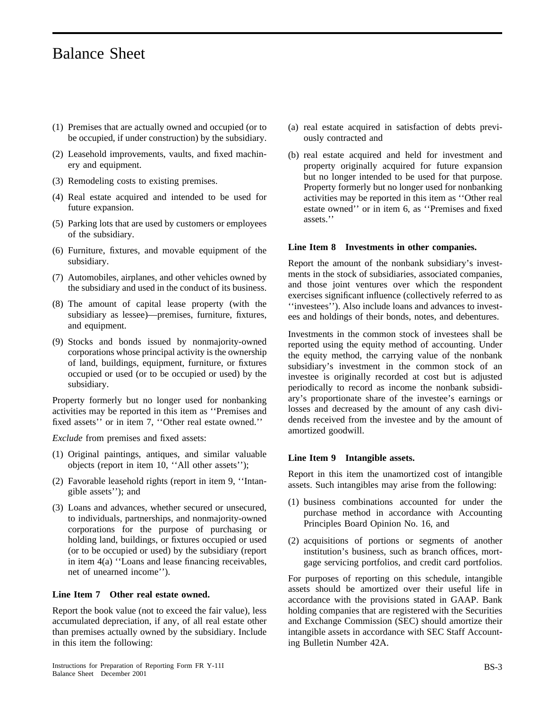- (1) Premises that are actually owned and occupied (or to be occupied, if under construction) by the subsidiary.
- (2) Leasehold improvements, vaults, and fixed machinery and equipment.
- (3) Remodeling costs to existing premises.
- (4) Real estate acquired and intended to be used for future expansion.
- (5) Parking lots that are used by customers or employees of the subsidiary.
- (6) Furniture, fixtures, and movable equipment of the subsidiary.
- (7) Automobiles, airplanes, and other vehicles owned by the subsidiary and used in the conduct of its business.
- (8) The amount of capital lease property (with the subsidiary as lessee)—premises, furniture, fixtures, and equipment.
- (9) Stocks and bonds issued by nonmajority-owned corporations whose principal activity is the ownership of land, buildings, equipment, furniture, or fixtures occupied or used (or to be occupied or used) by the subsidiary.

Property formerly but no longer used for nonbanking activities may be reported in this item as ''Premises and fixed assets'' or in item 7, ''Other real estate owned.''

*Exclude* from premises and fixed assets:

- (1) Original paintings, antiques, and similar valuable objects (report in item 10, ''All other assets'');
- (2) Favorable leasehold rights (report in item 9, ''Intangible assets''); and
- (3) Loans and advances, whether secured or unsecured, to individuals, partnerships, and nonmajority-owned corporations for the purpose of purchasing or holding land, buildings, or fixtures occupied or used (or to be occupied or used) by the subsidiary (report in item 4(a) ''Loans and lease financing receivables, net of unearned income'').

### **Line Item 7 Other real estate owned.**

Report the book value (not to exceed the fair value), less accumulated depreciation, if any, of all real estate other than premises actually owned by the subsidiary. Include in this item the following:

- (a) real estate acquired in satisfaction of debts previously contracted and
- (b) real estate acquired and held for investment and property originally acquired for future expansion but no longer intended to be used for that purpose. Property formerly but no longer used for nonbanking activities may be reported in this item as ''Other real estate owned'' or in item 6, as ''Premises and fixed assets.''

#### **Line Item 8 Investments in other companies.**

Report the amount of the nonbank subsidiary's investments in the stock of subsidiaries, associated companies, and those joint ventures over which the respondent exercises significant influence (collectively referred to as ''investees''). Also include loans and advances to investees and holdings of their bonds, notes, and debentures.

Investments in the common stock of investees shall be reported using the equity method of accounting. Under the equity method, the carrying value of the nonbank subsidiary's investment in the common stock of an investee is originally recorded at cost but is adjusted periodically to record as income the nonbank subsidiary's proportionate share of the investee's earnings or losses and decreased by the amount of any cash dividends received from the investee and by the amount of amortized goodwill.

#### **Line Item 9 Intangible assets.**

Report in this item the unamortized cost of intangible assets. Such intangibles may arise from the following:

- (1) business combinations accounted for under the purchase method in accordance with Accounting Principles Board Opinion No. 16, and
- (2) acquisitions of portions or segments of another institution's business, such as branch offices, mortgage servicing portfolios, and credit card portfolios.

For purposes of reporting on this schedule, intangible assets should be amortized over their useful life in accordance with the provisions stated in GAAP. Bank holding companies that are registered with the Securities and Exchange Commission (SEC) should amortize their intangible assets in accordance with SEC Staff Accounting Bulletin Number 42A.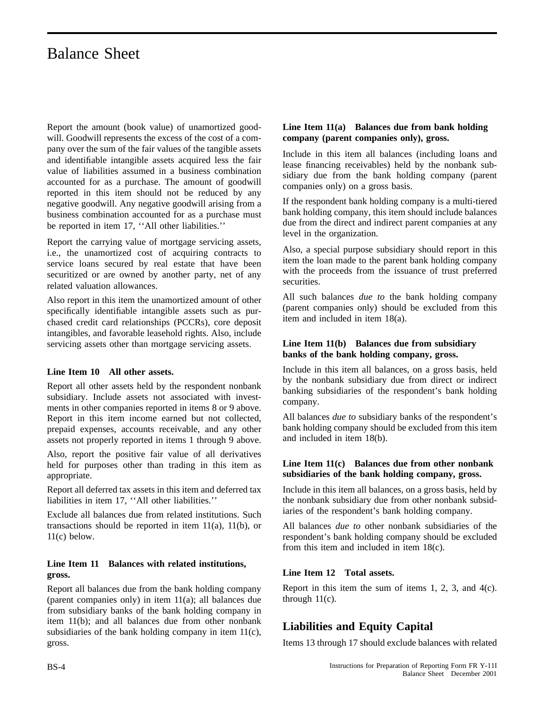Report the amount (book value) of unamortized goodwill. Goodwill represents the excess of the cost of a company over the sum of the fair values of the tangible assets and identifiable intangible assets acquired less the fair value of liabilities assumed in a business combination accounted for as a purchase. The amount of goodwill reported in this item should not be reduced by any negative goodwill. Any negative goodwill arising from a business combination accounted for as a purchase must be reported in item 17, ''All other liabilities.''

Report the carrying value of mortgage servicing assets, i.e., the unamortized cost of acquiring contracts to service loans secured by real estate that have been securitized or are owned by another party, net of any related valuation allowances.

Also report in this item the unamortized amount of other specifically identifiable intangible assets such as purchased credit card relationships (PCCRs), core deposit intangibles, and favorable leasehold rights. Also, include servicing assets other than mortgage servicing assets.

### **Line Item 10 All other assets.**

Report all other assets held by the respondent nonbank subsidiary. Include assets not associated with investments in other companies reported in items 8 or 9 above. Report in this item income earned but not collected, prepaid expenses, accounts receivable, and any other assets not properly reported in items 1 through 9 above.

Also, report the positive fair value of all derivatives held for purposes other than trading in this item as appropriate.

Report all deferred tax assets in this item and deferred tax liabilities in item 17, ''All other liabilities.''

Exclude all balances due from related institutions. Such transactions should be reported in item 11(a), 11(b), or 11(c) below.

### **Line Item 11 Balances with related institutions, gross.**

Report all balances due from the bank holding company (parent companies only) in item 11(a); all balances due from subsidiary banks of the bank holding company in item 11(b); and all balances due from other nonbank subsidiaries of the bank holding company in item 11(c), gross.

### **Line Item 11(a) Balances due from bank holding company (parent companies only), gross.**

Include in this item all balances (including loans and lease financing receivables) held by the nonbank subsidiary due from the bank holding company (parent companies only) on a gross basis.

If the respondent bank holding company is a multi-tiered bank holding company, this item should include balances due from the direct and indirect parent companies at any level in the organization.

Also, a special purpose subsidiary should report in this item the loan made to the parent bank holding company with the proceeds from the issuance of trust preferred securities.

All such balances *due to* the bank holding company (parent companies only) should be excluded from this item and included in item 18(a).

### **Line Item 11(b) Balances due from subsidiary banks of the bank holding company, gross.**

Include in this item all balances, on a gross basis, held by the nonbank subsidiary due from direct or indirect banking subsidiaries of the respondent's bank holding company.

All balances *due to* subsidiary banks of the respondent's bank holding company should be excluded from this item and included in item 18(b).

### **Line Item 11(c) Balances due from other nonbank subsidiaries of the bank holding company, gross.**

Include in this item all balances, on a gross basis, held by the nonbank subsidiary due from other nonbank subsidiaries of the respondent's bank holding company.

All balances *due to* other nonbank subsidiaries of the respondent's bank holding company should be excluded from this item and included in item 18(c).

### **Line Item 12 Total assets.**

Report in this item the sum of items 1, 2, 3, and 4(c). through  $11(c)$ .

### **Liabilities and Equity Capital**

Items 13 through 17 should exclude balances with related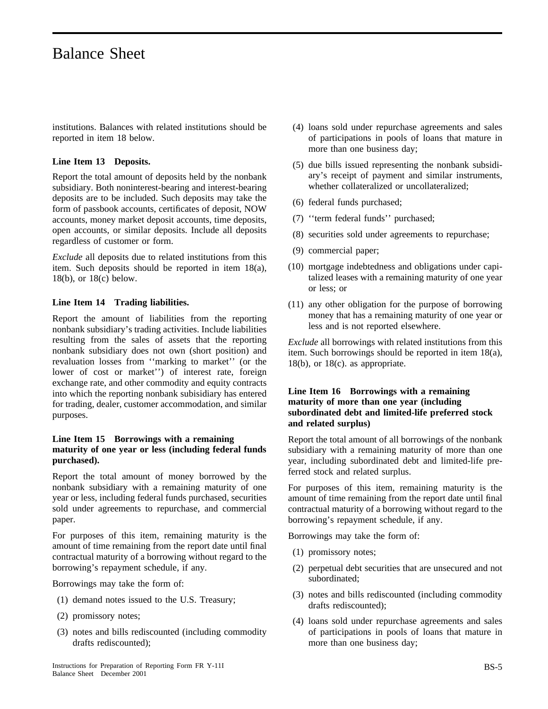institutions. Balances with related institutions should be reported in item 18 below.

#### **Line Item 13 Deposits.**

Report the total amount of deposits held by the nonbank subsidiary. Both noninterest-bearing and interest-bearing deposits are to be included. Such deposits may take the form of passbook accounts, certificates of deposit, NOW accounts, money market deposit accounts, time deposits, open accounts, or similar deposits. Include all deposits regardless of customer or form.

*Exclude* all deposits due to related institutions from this item. Such deposits should be reported in item 18(a), 18(b), or 18(c) below.

#### **Line Item 14 Trading liabilities.**

Report the amount of liabilities from the reporting nonbank subsidiary's trading activities. Include liabilities resulting from the sales of assets that the reporting nonbank subsidiary does not own (short position) and revaluation losses from ''marking to market'' (or the lower of cost or market'') of interest rate, foreign exchange rate, and other commodity and equity contracts into which the reporting nonbank subisidiary has entered for trading, dealer, customer accommodation, and similar purposes.

### **Line Item 15 Borrowings with a remaining maturity of one year or less (including federal funds purchased).**

Report the total amount of money borrowed by the nonbank subsidiary with a remaining maturity of one year or less, including federal funds purchased, securities sold under agreements to repurchase, and commercial paper.

For purposes of this item, remaining maturity is the amount of time remaining from the report date until final contractual maturity of a borrowing without regard to the borrowing's repayment schedule, if any.

Borrowings may take the form of:

- (1) demand notes issued to the U.S. Treasury;
- (2) promissory notes;
- (3) notes and bills rediscounted (including commodity drafts rediscounted);
- (4) loans sold under repurchase agreements and sales of participations in pools of loans that mature in more than one business day;
- (5) due bills issued representing the nonbank subsidiary's receipt of payment and similar instruments, whether collateralized or uncollateralized;
- (6) federal funds purchased;
- (7) ''term federal funds'' purchased;
- (8) securities sold under agreements to repurchase;
- (9) commercial paper;
- (10) mortgage indebtedness and obligations under capitalized leases with a remaining maturity of one year or less; or
- (11) any other obligation for the purpose of borrowing money that has a remaining maturity of one year or less and is not reported elsewhere.

*Exclude* all borrowings with related institutions from this item. Such borrowings should be reported in item 18(a),  $18(b)$ , or  $18(c)$ . as appropriate.

### **Line Item 16 Borrowings with a remaining maturity of more than one year (including subordinated debt and limited-life preferred stock and related surplus)**

Report the total amount of all borrowings of the nonbank subsidiary with a remaining maturity of more than one year, including subordinated debt and limited-life preferred stock and related surplus.

For purposes of this item, remaining maturity is the amount of time remaining from the report date until final contractual maturity of a borrowing without regard to the borrowing's repayment schedule, if any.

Borrowings may take the form of:

- (1) promissory notes;
- (2) perpetual debt securities that are unsecured and not subordinated;
- (3) notes and bills rediscounted (including commodity drafts rediscounted);
- (4) loans sold under repurchase agreements and sales of participations in pools of loans that mature in more than one business day;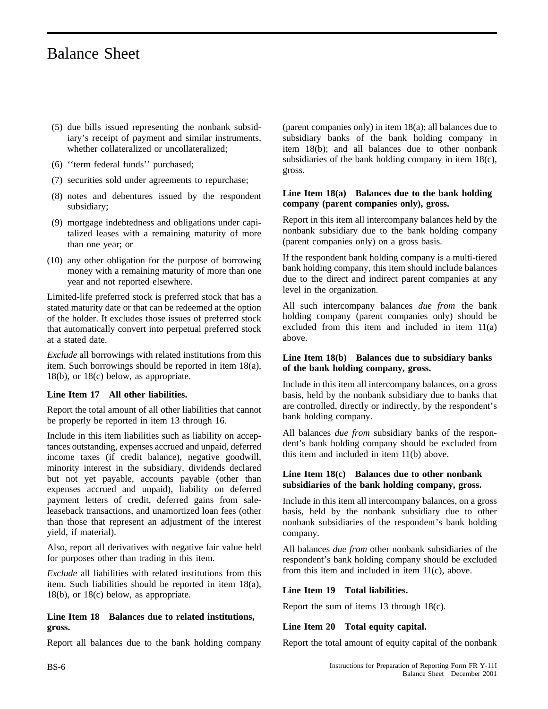- (5) due bills issued representing the nonbank subsidiary's receipt of payment and similar instruments, whether collateralized or uncollateralized;
- (6) ''term federal funds'' purchased;
- (7) securities sold under agreements to repurchase;
- (8) notes and debentures issued by the respondent subsidiary;
- (9) mortgage indebtedness and obligations under capitalized leases with a remaining maturity of more than one year; or
- (10) any other obligation for the purpose of borrowing money with a remaining maturity of more than one year and not reported elsewhere.

Limited-life preferred stock is preferred stock that has a stated maturity date or that can be redeemed at the option of the holder. It excludes those issues of preferred stock that automatically convert into perpetual preferred stock at a stated date.

*Exclude* all borrowings with related institutions from this item. Such borrowings should be reported in item 18(a), 18(b), or 18(c) below, as appropriate.

### **Line Item 17 All other liabilities.**

Report the total amount of all other liabilities that cannot be properly be reported in item 13 through 16.

Include in this item liabilities such as liability on acceptances outstanding, expenses accrued and unpaid, deferred income taxes (if credit balance), negative goodwill, minority interest in the subsidiary, dividends declared but not yet payable, accounts payable (other than expenses accrued and unpaid), liability on deferred payment letters of credit, deferred gains from saleleaseback transactions, and unamortized loan fees (other than those that represent an adjustment of the interest yield, if material).

Also, report all derivatives with negative fair value held for purposes other than trading in this item.

*Exclude* all liabilities with related institutions from this item. Such liabilities should be reported in item 18(a), 18(b), or 18(c) below, as appropriate.

### **Line Item 18 Balances due to related institutions, gross.**

Report all balances due to the bank holding company

(parent companies only) in item 18(a); all balances due to subsidiary banks of the bank holding company in item 18(b); and all balances due to other nonbank subsidiaries of the bank holding company in item 18(c), gross.

### **Line Item 18(a) Balances due to the bank holding company (parent companies only), gross.**

Report in this item all intercompany balances held by the nonbank subsidiary due to the bank holding company (parent companies only) on a gross basis.

If the respondent bank holding company is a multi-tiered bank holding company, this item should include balances due to the direct and indirect parent companies at any level in the organization.

All such intercompany balances *due from* the bank holding company (parent companies only) should be excluded from this item and included in item 11(a) above.

### **Line Item 18(b) Balances due to subsidiary banks of the bank holding company, gross.**

Include in this item all intercompany balances, on a gross basis, held by the nonbank subsidiary due to banks that are controlled, directly or indirectly, by the respondent's bank holding company.

All balances *due from* subsidiary banks of the respondent's bank holding company should be excluded from this item and included in item 11(b) above.

### **Line Item 18(c) Balances due to other nonbank subsidiaries of the bank holding company, gross.**

Include in this item all intercompany balances, on a gross basis, held by the nonbank subsidiary due to other nonbank subsidiaries of the respondent's bank holding company.

All balances *due from* other nonbank subsidiaries of the respondent's bank holding company should be excluded from this item and included in item 11(c), above.

### **Line Item 19 Total liabilities.**

Report the sum of items 13 through 18(c).

### **Line Item 20 Total equity capital.**

Report the total amount of equity capital of the nonbank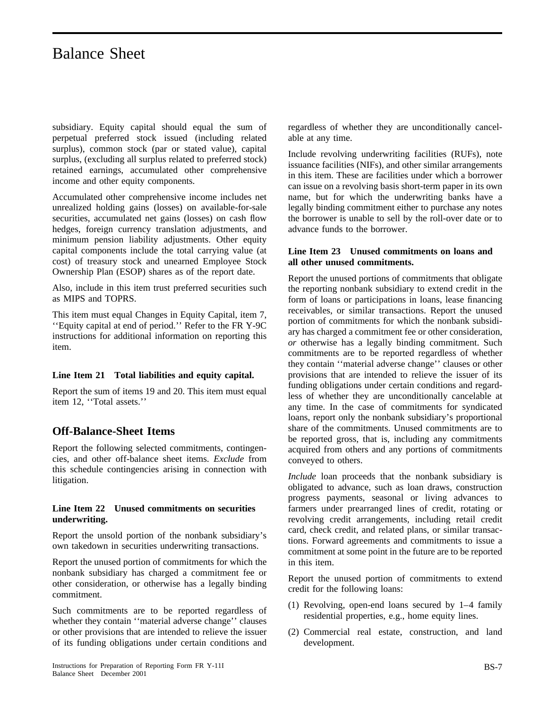subsidiary. Equity capital should equal the sum of perpetual preferred stock issued (including related surplus), common stock (par or stated value), capital surplus, (excluding all surplus related to preferred stock) retained earnings, accumulated other comprehensive income and other equity components.

Accumulated other comprehensive income includes net unrealized holding gains (losses) on available-for-sale securities, accumulated net gains (losses) on cash flow hedges, foreign currency translation adjustments, and minimum pension liability adjustments. Other equity capital components include the total carrying value (at cost) of treasury stock and unearned Employee Stock Ownership Plan (ESOP) shares as of the report date.

Also, include in this item trust preferred securities such as MIPS and TOPRS.

This item must equal Changes in Equity Capital, item 7, ''Equity capital at end of period.'' Refer to the FR Y-9C instructions for additional information on reporting this item.

### **Line Item 21 Total liabilities and equity capital.**

Report the sum of items 19 and 20. This item must equal item 12, ''Total assets.''

### **Off-Balance-Sheet Items**

Report the following selected commitments, contingencies, and other off-balance sheet items. *Exclude* from this schedule contingencies arising in connection with litigation.

### **Line Item 22 Unused commitments on securities underwriting.**

Report the unsold portion of the nonbank subsidiary's own takedown in securities underwriting transactions.

Report the unused portion of commitments for which the nonbank subsidiary has charged a commitment fee or other consideration, or otherwise has a legally binding commitment.

Such commitments are to be reported regardless of whether they contain ''material adverse change'' clauses or other provisions that are intended to relieve the issuer of its funding obligations under certain conditions and regardless of whether they are unconditionally cancelable at any time.

Include revolving underwriting facilities (RUFs), note issuance facilities (NIFs), and other similar arrangements in this item. These are facilities under which a borrower can issue on a revolving basis short-term paper in its own name, but for which the underwriting banks have a legally binding commitment either to purchase any notes the borrower is unable to sell by the roll-over date or to advance funds to the borrower.

### **Line Item 23 Unused commitments on loans and all other unused commitments.**

Report the unused portions of commitments that obligate the reporting nonbank subsidiary to extend credit in the form of loans or participations in loans, lease financing receivables, or similar transactions. Report the unused portion of commitments for which the nonbank subsidiary has charged a commitment fee or other consideration, *or* otherwise has a legally binding commitment. Such commitments are to be reported regardless of whether they contain ''material adverse change'' clauses or other provisions that are intended to relieve the issuer of its funding obligations under certain conditions and regardless of whether they are unconditionally cancelable at any time. In the case of commitments for syndicated loans, report only the nonbank subsidiary's proportional share of the commitments. Unused commitments are to be reported gross, that is, including any commitments acquired from others and any portions of commitments conveyed to others.

*Include* loan proceeds that the nonbank subsidiary is obligated to advance, such as loan draws, construction progress payments, seasonal or living advances to farmers under prearranged lines of credit, rotating or revolving credit arrangements, including retail credit card, check credit, and related plans, or similar transactions. Forward agreements and commitments to issue a commitment at some point in the future are to be reported in this item.

Report the unused portion of commitments to extend credit for the following loans:

- (1) Revolving, open-end loans secured by 1–4 family residential properties, e.g., home equity lines.
- (2) Commercial real estate, construction, and land development.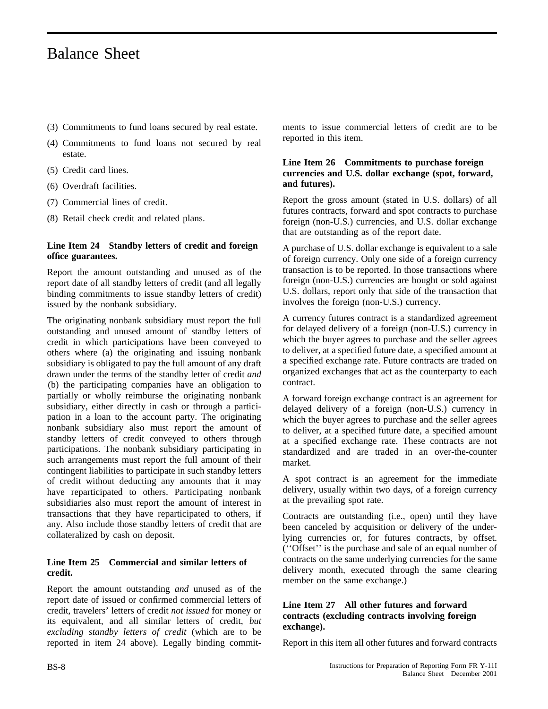- (3) Commitments to fund loans secured by real estate.
- (4) Commitments to fund loans not secured by real estate.
- (5) Credit card lines.
- (6) Overdraft facilities.
- (7) Commercial lines of credit.
- (8) Retail check credit and related plans.

### **Line Item 24 Standby letters of credit and foreign office guarantees.**

Report the amount outstanding and unused as of the report date of all standby letters of credit (and all legally binding commitments to issue standby letters of credit) issued by the nonbank subsidiary.

The originating nonbank subsidiary must report the full outstanding and unused amount of standby letters of credit in which participations have been conveyed to others where (a) the originating and issuing nonbank subsidiary is obligated to pay the full amount of any draft drawn under the terms of the standby letter of credit *and* (b) the participating companies have an obligation to partially or wholly reimburse the originating nonbank subsidiary, either directly in cash or through a participation in a loan to the account party. The originating nonbank subsidiary also must report the amount of standby letters of credit conveyed to others through participations. The nonbank subsidiary participating in such arrangements must report the full amount of their contingent liabilities to participate in such standby letters of credit without deducting any amounts that it may have reparticipated to others. Participating nonbank subsidiaries also must report the amount of interest in transactions that they have reparticipated to others, if any. Also include those standby letters of credit that are collateralized by cash on deposit.

### **Line Item 25 Commercial and similar letters of credit.**

Report the amount outstanding *and* unused as of the report date of issued or confirmed commercial letters of credit, travelers' letters of credit *not issued* for money or its equivalent, and all similar letters of credit, *but excluding standby letters of credit* (which are to be reported in item 24 above). Legally binding commitments to issue commercial letters of credit are to be reported in this item.

### **Line Item 26 Commitments to purchase foreign currencies and U.S. dollar exchange (spot, forward, and futures).**

Report the gross amount (stated in U.S. dollars) of all futures contracts, forward and spot contracts to purchase foreign (non-U.S.) currencies, and U.S. dollar exchange that are outstanding as of the report date.

A purchase of U.S. dollar exchange is equivalent to a sale of foreign currency. Only one side of a foreign currency transaction is to be reported. In those transactions where foreign (non-U.S.) currencies are bought or sold against U.S. dollars, report only that side of the transaction that involves the foreign (non-U.S.) currency.

A currency futures contract is a standardized agreement for delayed delivery of a foreign (non-U.S.) currency in which the buyer agrees to purchase and the seller agrees to deliver, at a specified future date, a specified amount at a specified exchange rate. Future contracts are traded on organized exchanges that act as the counterparty to each contract.

A forward foreign exchange contract is an agreement for delayed delivery of a foreign (non-U.S.) currency in which the buyer agrees to purchase and the seller agrees to deliver, at a specified future date, a specified amount at a specified exchange rate. These contracts are not standardized and are traded in an over-the-counter market.

A spot contract is an agreement for the immediate delivery, usually within two days, of a foreign currency at the prevailing spot rate.

Contracts are outstanding (i.e., open) until they have been canceled by acquisition or delivery of the underlying currencies or, for futures contracts, by offset. (''Offset'' is the purchase and sale of an equal number of contracts on the same underlying currencies for the same delivery month, executed through the same clearing member on the same exchange.)

### **Line Item 27 All other futures and forward contracts (excluding contracts involving foreign exchange).**

Report in this item all other futures and forward contracts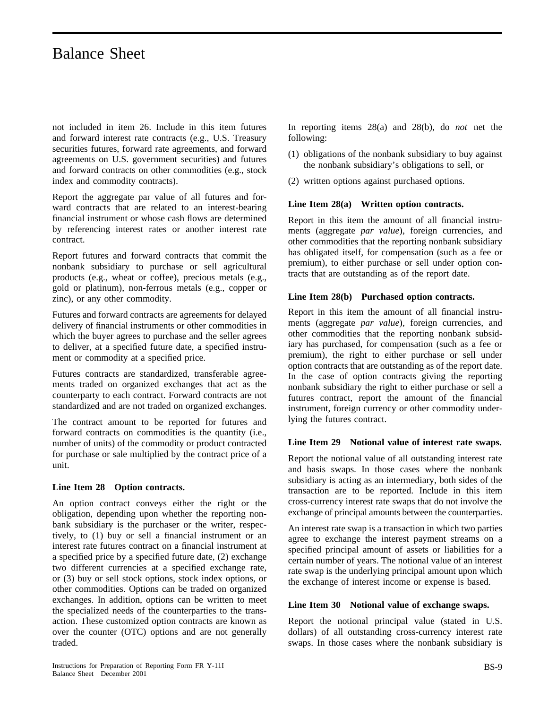not included in item 26. Include in this item futures and forward interest rate contracts (e.g., U.S. Treasury securities futures, forward rate agreements, and forward agreements on U.S. government securities) and futures and forward contracts on other commodities (e.g., stock index and commodity contracts).

Report the aggregate par value of all futures and forward contracts that are related to an interest-bearing financial instrument or whose cash flows are determined by referencing interest rates or another interest rate contract.

Report futures and forward contracts that commit the nonbank subsidiary to purchase or sell agricultural products (e.g., wheat or coffee), precious metals (e.g., gold or platinum), non-ferrous metals (e.g., copper or zinc), or any other commodity.

Futures and forward contracts are agreements for delayed delivery of financial instruments or other commodities in which the buyer agrees to purchase and the seller agrees to deliver, at a specified future date, a specified instrument or commodity at a specified price.

Futures contracts are standardized, transferable agreements traded on organized exchanges that act as the counterparty to each contract. Forward contracts are not standardized and are not traded on organized exchanges.

The contract amount to be reported for futures and forward contracts on commodities is the quantity (i.e., number of units) of the commodity or product contracted for purchase or sale multiplied by the contract price of a unit.

### **Line Item 28 Option contracts.**

An option contract conveys either the right or the obligation, depending upon whether the reporting nonbank subsidiary is the purchaser or the writer, respectively, to (1) buy or sell a financial instrument or an interest rate futures contract on a financial instrument at a specified price by a specified future date, (2) exchange two different currencies at a specified exchange rate, or (3) buy or sell stock options, stock index options, or other commodities. Options can be traded on organized exchanges. In addition, options can be written to meet the specialized needs of the counterparties to the transaction. These customized option contracts are known as over the counter (OTC) options and are not generally traded.

In reporting items 28(a) and 28(b), do *not* net the following:

- (1) obligations of the nonbank subsidiary to buy against the nonbank subsidiary's obligations to sell, or
- (2) written options against purchased options.

### **Line Item 28(a) Written option contracts.**

Report in this item the amount of all financial instruments (aggregate *par value*), foreign currencies, and other commodities that the reporting nonbank subsidiary has obligated itself, for compensation (such as a fee or premium), to either purchase or sell under option contracts that are outstanding as of the report date.

#### **Line Item 28(b) Purchased option contracts.**

Report in this item the amount of all financial instruments (aggregate *par value*), foreign currencies, and other commodities that the reporting nonbank subsidiary has purchased, for compensation (such as a fee or premium), the right to either purchase or sell under option contracts that are outstanding as of the report date. In the case of option contracts giving the reporting nonbank subsidiary the right to either purchase or sell a futures contract, report the amount of the financial instrument, foreign currency or other commodity underlying the futures contract.

#### **Line Item 29 Notional value of interest rate swaps.**

Report the notional value of all outstanding interest rate and basis swaps. In those cases where the nonbank subsidiary is acting as an intermediary, both sides of the transaction are to be reported. Include in this item cross-currency interest rate swaps that do not involve the exchange of principal amounts between the counterparties.

An interest rate swap is a transaction in which two parties agree to exchange the interest payment streams on a specified principal amount of assets or liabilities for a certain number of years. The notional value of an interest rate swap is the underlying principal amount upon which the exchange of interest income or expense is based.

#### **Line Item 30 Notional value of exchange swaps.**

Report the notional principal value (stated in U.S. dollars) of all outstanding cross-currency interest rate swaps. In those cases where the nonbank subsidiary is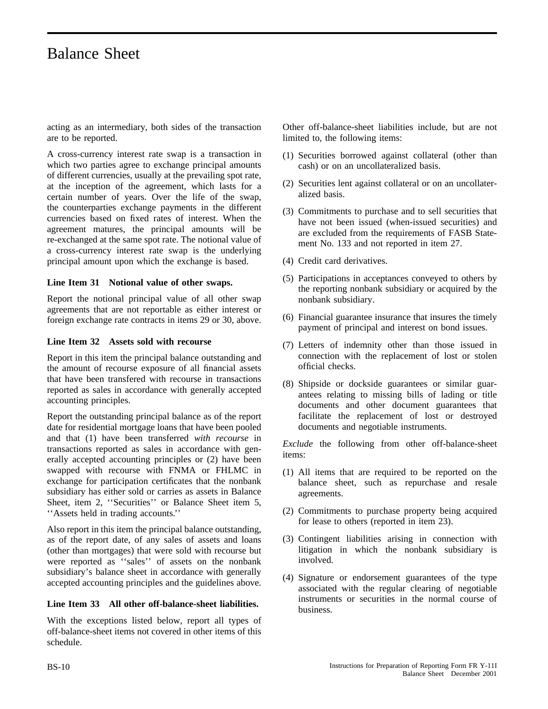acting as an intermediary, both sides of the transaction are to be reported.

A cross-currency interest rate swap is a transaction in which two parties agree to exchange principal amounts of different currencies, usually at the prevailing spot rate, at the inception of the agreement, which lasts for a certain number of years. Over the life of the swap, the counterparties exchange payments in the different currencies based on fixed rates of interest. When the agreement matures, the principal amounts will be re-exchanged at the same spot rate. The notional value of a cross-currency interest rate swap is the underlying principal amount upon which the exchange is based.

### **Line Item 31 Notional value of other swaps.**

Report the notional principal value of all other swap agreements that are not reportable as either interest or foreign exchange rate contracts in items 29 or 30, above.

### **Line Item 32 Assets sold with recourse**

Report in this item the principal balance outstanding and the amount of recourse exposure of all financial assets that have been transfered with recourse in transactions reported as sales in accordance with generally accepted accounting principles.

Report the outstanding principal balance as of the report date for residential mortgage loans that have been pooled and that (1) have been transferred *with recourse* in transactions reported as sales in accordance with generally accepted accounting principles or (2) have been swapped with recourse with FNMA or FHLMC in exchange for participation certificates that the nonbank subsidiary has either sold or carries as assets in Balance Sheet, item 2, ''Securities'' or Balance Sheet item 5, ''Assets held in trading accounts.''

Also report in this item the principal balance outstanding, as of the report date, of any sales of assets and loans (other than mortgages) that were sold with recourse but were reported as ''sales'' of assets on the nonbank subsidiary's balance sheet in accordance with generally accepted accounting principles and the guidelines above.

### **Line Item 33 All other off-balance-sheet liabilities.**

With the exceptions listed below, report all types of off-balance-sheet items not covered in other items of this schedule.

Other off-balance-sheet liabilities include, but are not limited to, the following items:

- (1) Securities borrowed against collateral (other than cash) or on an uncollateralized basis.
- (2) Securities lent against collateral or on an uncollateralized basis.
- (3) Commitments to purchase and to sell securities that have not been issued (when-issued securities) and are excluded from the requirements of FASB Statement No. 133 and not reported in item 27.
- (4) Credit card derivatives.
- (5) Participations in acceptances conveyed to others by the reporting nonbank subsidiary or acquired by the nonbank subsidiary.
- (6) Financial guarantee insurance that insures the timely payment of principal and interest on bond issues.
- (7) Letters of indemnity other than those issued in connection with the replacement of lost or stolen official checks.
- (8) Shipside or dockside guarantees or similar guarantees relating to missing bills of lading or title documents and other document guarantees that facilitate the replacement of lost or destroyed documents and negotiable instruments.

*Exclude* the following from other off-balance-sheet items:

- (1) All items that are required to be reported on the balance sheet, such as repurchase and resale agreements.
- (2) Commitments to purchase property being acquired for lease to others (reported in item 23).
- (3) Contingent liabilities arising in connection with litigation in which the nonbank subsidiary is involved.
- (4) Signature or endorsement guarantees of the type associated with the regular clearing of negotiable instruments or securities in the normal course of business.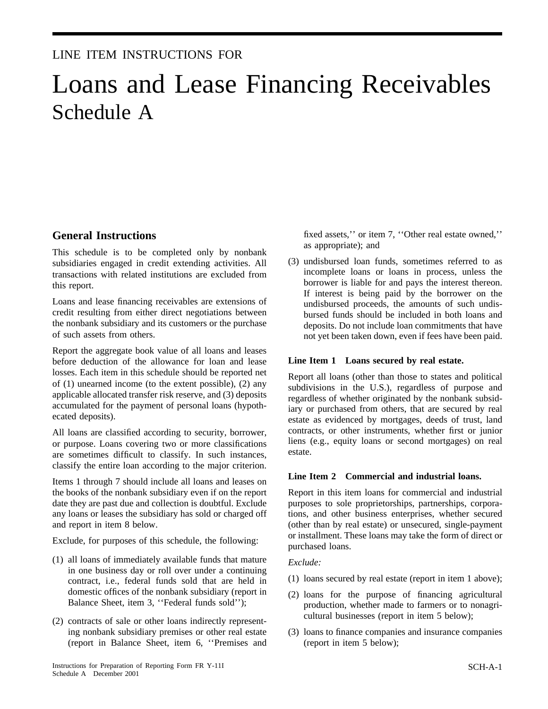### LINE ITEM INSTRUCTIONS FOR

# Loans and Lease Financing Receivables Schedule A

### **General Instructions**

This schedule is to be completed only by nonbank subsidiaries engaged in credit extending activities. All transactions with related institutions are excluded from this report.

Loans and lease financing receivables are extensions of credit resulting from either direct negotiations between the nonbank subsidiary and its customers or the purchase of such assets from others.

Report the aggregate book value of all loans and leases before deduction of the allowance for loan and lease losses. Each item in this schedule should be reported net of (1) unearned income (to the extent possible), (2) any applicable allocated transfer risk reserve, and (3) deposits accumulated for the payment of personal loans (hypothecated deposits).

All loans are classified according to security, borrower, or purpose. Loans covering two or more classifications are sometimes difficult to classify. In such instances, classify the entire loan according to the major criterion.

Items 1 through 7 should include all loans and leases on the books of the nonbank subsidiary even if on the report date they are past due and collection is doubtful. Exclude any loans or leases the subsidiary has sold or charged off and report in item 8 below.

Exclude, for purposes of this schedule, the following:

- (1) all loans of immediately available funds that mature in one business day or roll over under a continuing contract, i.e., federal funds sold that are held in domestic offices of the nonbank subsidiary (report in Balance Sheet, item 3, ''Federal funds sold'');
- (2) contracts of sale or other loans indirectly representing nonbank subsidiary premises or other real estate (report in Balance Sheet, item 6, ''Premises and

fixed assets,'' or item 7, ''Other real estate owned,'' as appropriate); and

(3) undisbursed loan funds, sometimes referred to as incomplete loans or loans in process, unless the borrower is liable for and pays the interest thereon. If interest is being paid by the borrower on the undisbursed proceeds, the amounts of such undisbursed funds should be included in both loans and deposits. Do not include loan commitments that have not yet been taken down, even if fees have been paid.

### **Line Item 1 Loans secured by real estate.**

Report all loans (other than those to states and political subdivisions in the U.S.), regardless of purpose and regardless of whether originated by the nonbank subsidiary or purchased from others, that are secured by real estate as evidenced by mortgages, deeds of trust, land contracts, or other instruments, whether first or junior liens (e.g., equity loans or second mortgages) on real estate.

#### **Line Item 2 Commercial and industrial loans.**

Report in this item loans for commercial and industrial purposes to sole proprietorships, partnerships, corporations, and other business enterprises, whether secured (other than by real estate) or unsecured, single-payment or installment. These loans may take the form of direct or purchased loans.

#### *Exclude:*

- (1) loans secured by real estate (report in item 1 above);
- (2) loans for the purpose of financing agricultural production, whether made to farmers or to nonagricultural businesses (report in item 5 below);
- (3) loans to finance companies and insurance companies (report in item 5 below);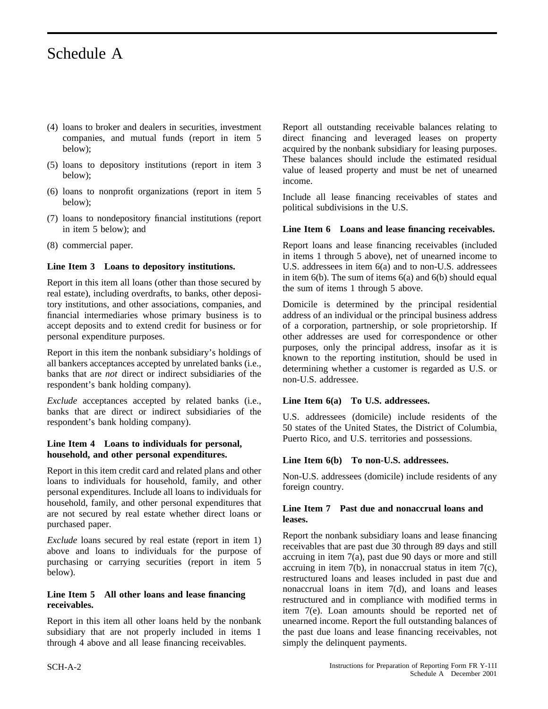# Schedule A

- (4) loans to broker and dealers in securities, investment companies, and mutual funds (report in item 5 below);
- (5) loans to depository institutions (report in item 3 below);
- (6) loans to nonprofit organizations (report in item 5 below);
- (7) loans to nondepository financial institutions (report in item 5 below); and
- (8) commercial paper.

### **Line Item 3 Loans to depository institutions.**

Report in this item all loans (other than those secured by real estate), including overdrafts, to banks, other depository institutions, and other associations, companies, and financial intermediaries whose primary business is to accept deposits and to extend credit for business or for personal expenditure purposes.

Report in this item the nonbank subsidiary's holdings of all bankers acceptances accepted by unrelated banks (i.e., banks that are *not* direct or indirect subsidiaries of the respondent's bank holding company).

*Exclude* acceptances accepted by related banks (i.e., banks that are direct or indirect subsidiaries of the respondent's bank holding company).

#### **Line Item 4 Loans to individuals for personal, household, and other personal expenditures.**

Report in this item credit card and related plans and other loans to individuals for household, family, and other personal expenditures. Include all loans to individuals for household, family, and other personal expenditures that are not secured by real estate whether direct loans or purchased paper.

*Exclude* loans secured by real estate (report in item 1) above and loans to individuals for the purpose of purchasing or carrying securities (report in item 5 below).

### **Line Item 5 All other loans and lease financing receivables.**

Report in this item all other loans held by the nonbank subsidiary that are not properly included in items 1 through 4 above and all lease financing receivables.

Report all outstanding receivable balances relating to direct financing and leveraged leases on property acquired by the nonbank subsidiary for leasing purposes. These balances should include the estimated residual value of leased property and must be net of unearned income.

Include all lease financing receivables of states and political subdivisions in the U.S.

### **Line Item 6 Loans and lease financing receivables.**

Report loans and lease financing receivables (included in items 1 through 5 above), net of unearned income to U.S. addressees in item 6(a) and to non-U.S. addressees in item  $6(b)$ . The sum of items  $6(a)$  and  $6(b)$  should equal the sum of items 1 through 5 above.

Domicile is determined by the principal residential address of an individual or the principal business address of a corporation, partnership, or sole proprietorship. If other addresses are used for correspondence or other purposes, only the principal address, insofar as it is known to the reporting institution, should be used in determining whether a customer is regarded as U.S. or non-U.S. addressee.

### **Line Item 6(a) To U.S. addressees.**

U.S. addressees (domicile) include residents of the 50 states of the United States, the District of Columbia, Puerto Rico, and U.S. territories and possessions.

### **Line Item 6(b) To non-U.S. addressees.**

Non-U.S. addressees (domicile) include residents of any foreign country.

### **Line Item 7 Past due and nonaccrual loans and leases.**

Report the nonbank subsidiary loans and lease financing receivables that are past due 30 through 89 days and still accruing in item 7(a), past due 90 days or more and still accruing in item 7(b), in nonaccrual status in item 7(c), restructured loans and leases included in past due and nonaccrual loans in item 7(d), and loans and leases restructured and in compliance with modified terms in item 7(e). Loan amounts should be reported net of unearned income. Report the full outstanding balances of the past due loans and lease financing receivables, not simply the delinquent payments.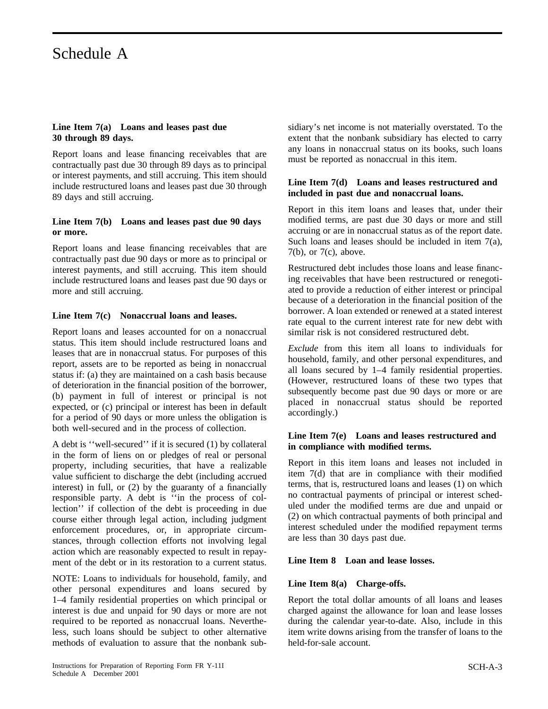# Schedule A

### **Line Item 7(a) Loans and leases past due 30 through 89 days.**

Report loans and lease financing receivables that are contractually past due 30 through 89 days as to principal or interest payments, and still accruing. This item should include restructured loans and leases past due 30 through 89 days and still accruing.

### **Line Item 7(b) Loans and leases past due 90 days or more.**

Report loans and lease financing receivables that are contractually past due 90 days or more as to principal or interest payments, and still accruing. This item should include restructured loans and leases past due 90 days or more and still accruing.

### **Line Item 7(c) Nonaccrual loans and leases.**

Report loans and leases accounted for on a nonaccrual status. This item should include restructured loans and leases that are in nonaccrual status. For purposes of this report, assets are to be reported as being in nonaccrual status if: (a) they are maintained on a cash basis because of deterioration in the financial position of the borrower, (b) payment in full of interest or principal is not expected, or (c) principal or interest has been in default for a period of 90 days or more unless the obligation is both well-secured and in the process of collection.

A debt is ''well-secured'' if it is secured (1) by collateral in the form of liens on or pledges of real or personal property, including securities, that have a realizable value sufficient to discharge the debt (including accrued interest) in full, or (2) by the guaranty of a financially responsible party. A debt is ''in the process of collection'' if collection of the debt is proceeding in due course either through legal action, including judgment enforcement procedures, or, in appropriate circumstances, through collection efforts not involving legal action which are reasonably expected to result in repayment of the debt or in its restoration to a current status.

NOTE: Loans to individuals for household, family, and other personal expenditures and loans secured by 1–4 family residential properties on which principal or interest is due and unpaid for 90 days or more are not required to be reported as nonaccrual loans. Nevertheless, such loans should be subject to other alternative methods of evaluation to assure that the nonbank subsidiary's net income is not materially overstated. To the extent that the nonbank subsidiary has elected to carry any loans in nonaccrual status on its books, such loans must be reported as nonaccrual in this item.

### **Line Item 7(d) Loans and leases restructured and included in past due and nonaccrual loans.**

Report in this item loans and leases that, under their modified terms, are past due 30 days or more and still accruing or are in nonaccrual status as of the report date. Such loans and leases should be included in item 7(a), 7(b), or 7(c), above.

Restructured debt includes those loans and lease financing receivables that have been restructured or renegotiated to provide a reduction of either interest or principal because of a deterioration in the financial position of the borrower. A loan extended or renewed at a stated interest rate equal to the current interest rate for new debt with similar risk is not considered restructured debt.

*Exclude* from this item all loans to individuals for household, family, and other personal expenditures, and all loans secured by 1–4 family residential properties. (However, restructured loans of these two types that subsequently become past due 90 days or more or are placed in nonaccrual status should be reported accordingly.)

### **Line Item 7(e) Loans and leases restructured and in compliance with modified terms.**

Report in this item loans and leases not included in item 7(d) that are in compliance with their modified terms, that is, restructured loans and leases (1) on which no contractual payments of principal or interest scheduled under the modified terms are due and unpaid or (2) on which contractual payments of both principal and interest scheduled under the modified repayment terms are less than 30 days past due.

### **Line Item 8 Loan and lease losses.**

### **Line Item 8(a) Charge-offs.**

Report the total dollar amounts of all loans and leases charged against the allowance for loan and lease losses during the calendar year-to-date. Also, include in this item write downs arising from the transfer of loans to the held-for-sale account.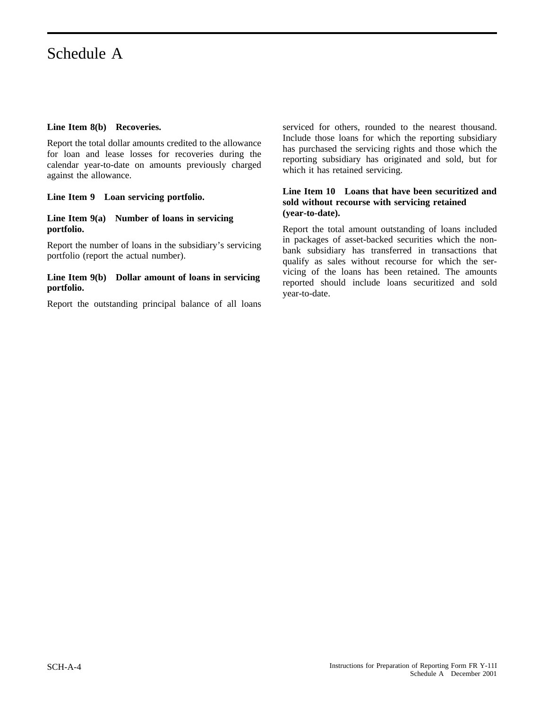### **Line Item 8(b) Recoveries.**

Report the total dollar amounts credited to the allowance for loan and lease losses for recoveries during the calendar year-to-date on amounts previously charged against the allowance.

### **Line Item 9 Loan servicing portfolio.**

### **Line Item 9(a) Number of loans in servicing portfolio.**

Report the number of loans in the subsidiary's servicing portfolio (report the actual number).

### **Line Item 9(b) Dollar amount of loans in servicing portfolio.**

Report the outstanding principal balance of all loans

serviced for others, rounded to the nearest thousand. Include those loans for which the reporting subsidiary has purchased the servicing rights and those which the reporting subsidiary has originated and sold, but for which it has retained servicing.

### **Line Item 10 Loans that have been securitized and sold without recourse with servicing retained (year-to-date).**

Report the total amount outstanding of loans included in packages of asset-backed securities which the nonbank subsidiary has transferred in transactions that qualify as sales without recourse for which the servicing of the loans has been retained. The amounts reported should include loans securitized and sold year-to-date.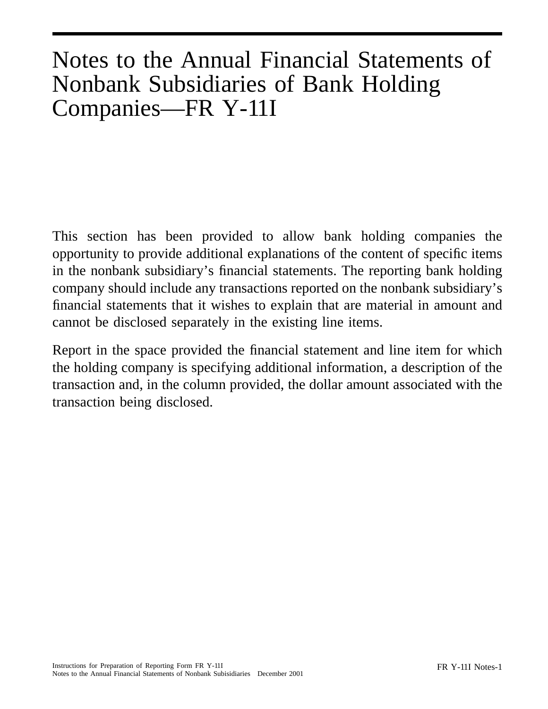# Notes to the Annual Financial Statements of Nonbank Subsidiaries of Bank Holding Companies—FR Y-11I

This section has been provided to allow bank holding companies the opportunity to provide additional explanations of the content of specific items in the nonbank subsidiary's financial statements. The reporting bank holding company should include any transactions reported on the nonbank subsidiary's financial statements that it wishes to explain that are material in amount and cannot be disclosed separately in the existing line items.

Report in the space provided the financial statement and line item for which the holding company is specifying additional information, a description of the transaction and, in the column provided, the dollar amount associated with the transaction being disclosed.